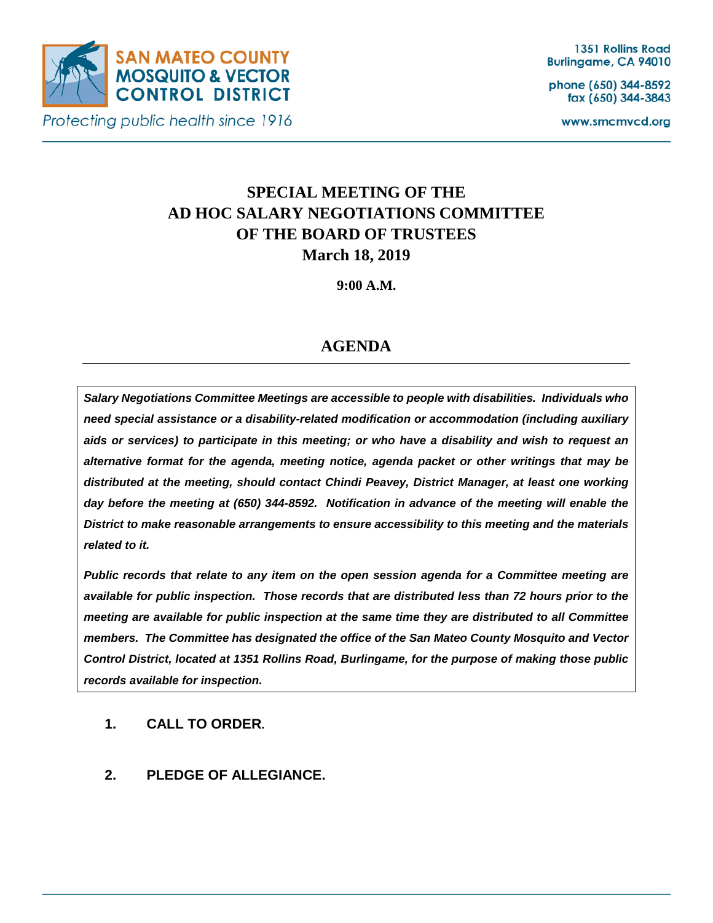

Protecting public health since 1916

phone (650) 344-8592 fax (650) 344-3843

www.smcmvcd.org

# **SPECIAL MEETING OF THE AD HOC SALARY NEGOTIATIONS COMMITTEE OF THE BOARD OF TRUSTEES March 18, 2019**

**9:00 A.M.**

## **AGENDA**

*Salary Negotiations Committee Meetings are accessible to people with disabilities. Individuals who need special assistance or a disability-related modification or accommodation (including auxiliary aids or services) to participate in this meeting; or who have a disability and wish to request an alternative format for the agenda, meeting notice, agenda packet or other writings that may be distributed at the meeting, should contact Chindi Peavey, District Manager, at least one working day before the meeting at (650) 344-8592. Notification in advance of the meeting will enable the District to make reasonable arrangements to ensure accessibility to this meeting and the materials related to it.*

*Public records that relate to any item on the open session agenda for a Committee meeting are available for public inspection. Those records that are distributed less than 72 hours prior to the meeting are available for public inspection at the same time they are distributed to all Committee members. The Committee has designated the office of the San Mateo County Mosquito and Vector Control District, located at 1351 Rollins Road, Burlingame, for the purpose of making those public records available for inspection.*

#### **1. CALL TO ORDER.**

**2. PLEDGE OF ALLEGIANCE.**